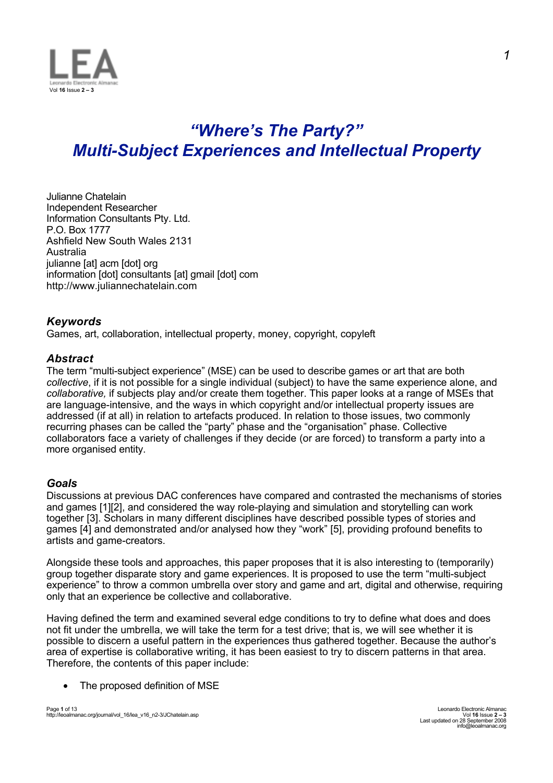

# *"Where's The Party?" Multi-Subject Experiences and Intellectual Property*

Julianne Chatelain Independent Researcher Information Consultants Pty. Ltd. P.O. Box 1777 Ashfield New South Wales 2131 Australia julianne [at] acm [dot] org information [dot] consultants [at] gmail [dot] com http://www.juliannechatelain.com

## *Keywords*

Games, art, collaboration, intellectual property, money, copyright, copyleft

## *Abstract*

The term "multi-subject experience" (MSE) can be used to describe games or art that are both *collective*, if it is not possible for a single individual (subject) to have the same experience alone, and *collaborative,* if subjects play and/or create them together. This paper looks at a range of MSEs that are language-intensive, and the ways in which copyright and/or intellectual property issues are addressed (if at all) in relation to artefacts produced. In relation to those issues, two commonly recurring phases can be called the "party" phase and the "organisation" phase. Collective collaborators face a variety of challenges if they decide (or are forced) to transform a party into a more organised entity.

## *Goals*

Discussions at previous DAC conferences have compared and contrasted the mechanisms of stories and games [1][2], and considered the way role-playing and simulation and storytelling can work together [3]. Scholars in many different disciplines have described possible types of stories and games [4] and demonstrated and/or analysed how they "work" [5], providing profound benefits to artists and game-creators.

Alongside these tools and approaches, this paper proposes that it is also interesting to (temporarily) group together disparate story and game experiences. It is proposed to use the term "multi-subject experience" to throw a common umbrella over story and game and art, digital and otherwise, requiring only that an experience be collective and collaborative.

Having defined the term and examined several edge conditions to try to define what does and does not fit under the umbrella, we will take the term for a test drive; that is, we will see whether it is possible to discern a useful pattern in the experiences thus gathered together. Because the author's area of expertise is collaborative writing, it has been easiest to try to discern patterns in that area. Therefore, the contents of this paper include:

• The proposed definition of MSE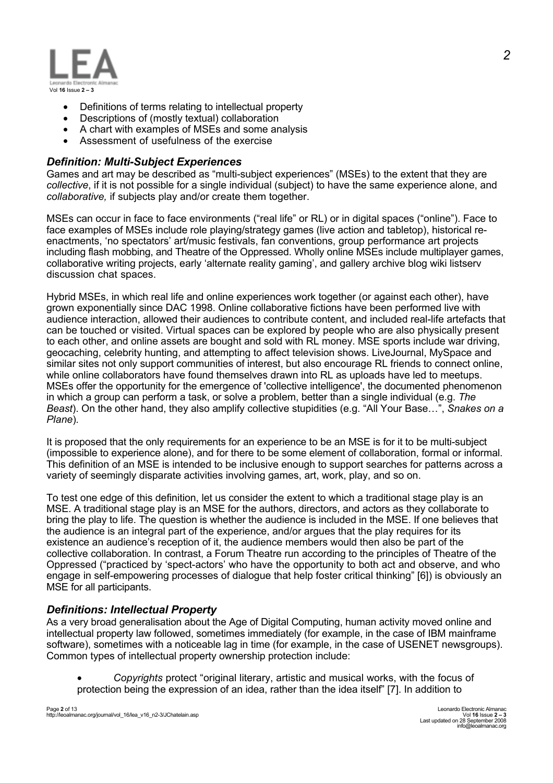

- Definitions of terms relating to intellectual property
- Descriptions of (mostly textual) collaboration
- A chart with examples of MSEs and some analysis
- Assessment of usefulness of the exercise

### *Definition: Multi-Subject Experiences*

Games and art may be described as "multi-subject experiences" (MSEs) to the extent that they are *collective*, if it is not possible for a single individual (subject) to have the same experience alone, and *collaborative,* if subjects play and/or create them together.

MSEs can occur in face to face environments ("real life" or RL) or in digital spaces ("online"). Face to face examples of MSEs include role playing/strategy games (live action and tabletop), historical reenactments, 'no spectators' art/music festivals, fan conventions, group performance art projects including flash mobbing, and Theatre of the Oppressed. Wholly online MSEs include multiplayer games, collaborative writing projects, early 'alternate reality gaming', and gallery archive blog wiki listserv discussion chat spaces.

Hybrid MSEs, in which real life and online experiences work together (or against each other), have grown exponentially since DAC 1998. Online collaborative fictions have been performed live with audience interaction, allowed their audiences to contribute content, and included real-life artefacts that can be touched or visited. Virtual spaces can be explored by people who are also physically present to each other, and online assets are bought and sold with RL money. MSE sports include war driving, geocaching, celebrity hunting, and attempting to affect television shows. LiveJournal, MySpace and similar sites not only support communities of interest, but also encourage RL friends to connect online, while online collaborators have found themselves drawn into RL as uploads have led to meetups. MSEs offer the opportunity for the emergence of 'collective intelligence', the documented phenomenon in which a group can perform a task, or solve a problem, better than a single individual (e.g. *The Beast*). On the other hand, they also amplify collective stupidities (e.g. "All Your Base…", *Snakes on a Plane*)*.*

It is proposed that the only requirements for an experience to be an MSE is for it to be multi-subject (impossible to experience alone), and for there to be some element of collaboration, formal or informal. This definition of an MSE is intended to be inclusive enough to support searches for patterns across a variety of seemingly disparate activities involving games, art, work, play, and so on.

To test one edge of this definition, let us consider the extent to which a traditional stage play is an MSE. A traditional stage play is an MSE for the authors, directors, and actors as they collaborate to bring the play to life. The question is whether the audience is included in the MSE. If one believes that the audience is an integral part of the experience, and/or argues that the play requires for its existence an audience's reception of it, the audience members would then also be part of the collective collaboration. In contrast, a Forum Theatre run according to the principles of Theatre of the Oppressed ("practiced by 'spect-actors' who have the opportunity to both act and observe, and who engage in self-empowering processes of dialogue that help foster critical thinking" [6]) is obviously an MSE for all participants.

## *Definitions: Intellectual Property*

As a very broad generalisation about the Age of Digital Computing, human activity moved online and intellectual property law followed, sometimes immediately (for example, in the case of IBM mainframe software), sometimes with a noticeable lag in time (for example, in the case of USENET newsgroups). Common types of intellectual property ownership protection include:

• *Copyrights* protect "original literary, artistic and musical works, with the focus of protection being the expression of an idea, rather than the idea itself" [7]. In addition to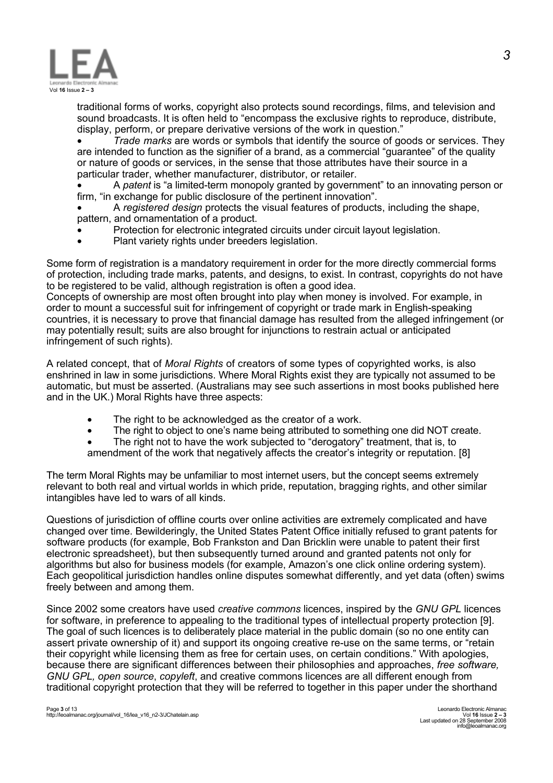

traditional forms of works, copyright also protects sound recordings, films, and television and sound broadcasts. It is often held to "encompass the exclusive rights to reproduce, distribute, display, perform, or prepare derivative versions of the work in question."

• *Trade marks* are words or symbols that identify the source of goods or services. They are intended to function as the signifier of a brand, as a commercial "guarantee" of the quality or nature of goods or services, in the sense that those attributes have their source in a particular trader, whether manufacturer, distributor, or retailer.

• A *patent* is "a limited-term monopoly granted by government" to an innovating person or firm, "in exchange for public disclosure of the pertinent innovation".

• A *registered design* protects the visual features of products, including the shape, pattern, and ornamentation of a product.

- Protection for electronic integrated circuits under circuit layout legislation.
- Plant variety rights under breeders legislation.

Some form of registration is a mandatory requirement in order for the more directly commercial forms of protection, including trade marks, patents, and designs, to exist. In contrast, copyrights do not have to be registered to be valid, although registration is often a good idea.

Concepts of ownership are most often brought into play when money is involved. For example, in order to mount a successful suit for infringement of copyright or trade mark in English-speaking countries, it is necessary to prove that financial damage has resulted from the alleged infringement (or may potentially result; suits are also brought for injunctions to restrain actual or anticipated infringement of such rights).

A related concept, that of *Moral Rights* of creators of some types of copyrighted works, is also enshrined in law in some jurisdictions. Where Moral Rights exist they are typically not assumed to be automatic, but must be asserted. (Australians may see such assertions in most books published here and in the UK.) Moral Rights have three aspects:

- The right to be acknowledged as the creator of a work.
- The right to object to one's name being attributed to something one did NOT create.
- The right not to have the work subjected to "derogatory" treatment, that is, to
- amendment of the work that negatively affects the creator's integrity or reputation. [8]

The term Moral Rights may be unfamiliar to most internet users, but the concept seems extremely relevant to both real and virtual worlds in which pride, reputation, bragging rights, and other similar intangibles have led to wars of all kinds.

Questions of jurisdiction of offline courts over online activities are extremely complicated and have changed over time. Bewilderingly, the United States Patent Office initially refused to grant patents for software products (for example, Bob Frankston and Dan Bricklin were unable to patent their first electronic spreadsheet), but then subsequently turned around and granted patents not only for algorithms but also for business models (for example, Amazon's one click online ordering system). Each geopolitical jurisdiction handles online disputes somewhat differently, and yet data (often) swims freely between and among them.

Since 2002 some creators have used *creative commons* licences, inspired by the *GNU GPL* licences for software, in preference to appealing to the traditional types of intellectual property protection [9]. The goal of such licences is to deliberately place material in the public domain (so no one entity can assert private ownership of it) and support its ongoing creative re-use on the same terms, or "retain their copyright while licensing them as free for certain uses, on certain conditions." With apologies, because there are significant differences between their philosophies and approaches, *free software, GNU GPL, open source*, *copyleft*, and creative commons licences are all different enough from traditional copyright protection that they will be referred to together in this paper under the shorthand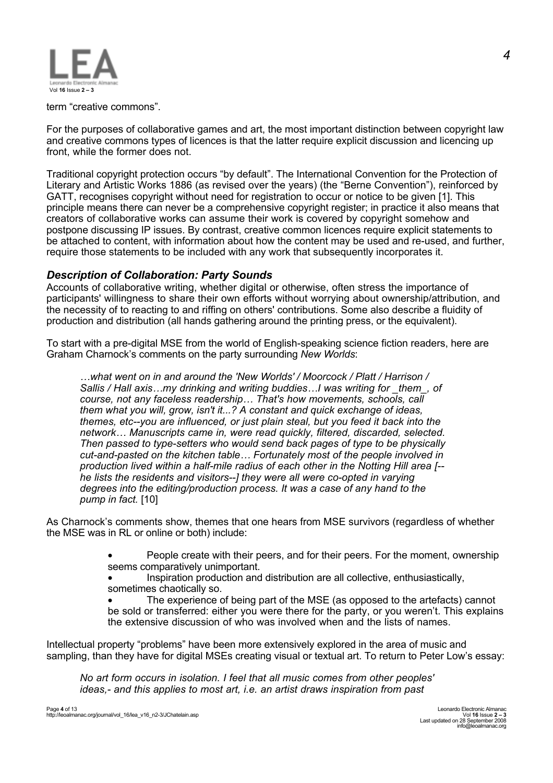

term "creative commons".

For the purposes of collaborative games and art, the most important distinction between copyright law and creative commons types of licences is that the latter require explicit discussion and licencing up front, while the former does not.

Traditional copyright protection occurs "by default". The International Convention for the Protection of Literary and Artistic Works 1886 (as revised over the years) (the "Berne Convention"), reinforced by GATT, recognises copyright without need for registration to occur or notice to be given [1]. This principle means there can never be a comprehensive copyright register; in practice it also means that creators of collaborative works can assume their work is covered by copyright somehow and postpone discussing IP issues. By contrast, creative common licences require explicit statements to be attached to content, with information about how the content may be used and re-used, and further, require those statements to be included with any work that subsequently incorporates it.

#### *Description of Collaboration: Party Sounds*

Accounts of collaborative writing, whether digital or otherwise, often stress the importance of participants' willingness to share their own efforts without worrying about ownership/attribution, and the necessity of to reacting to and riffing on others' contributions. Some also describe a fluidity of production and distribution (all hands gathering around the printing press, or the equivalent).

To start with a pre-digital MSE from the world of English-speaking science fiction readers, here are Graham Charnock's comments on the party surrounding *New Worlds*:

*…what went on in and around the 'New Worlds' / Moorcock / Platt / Harrison / Sallis / Hall axis…my drinking and writing buddies…I was writing for \_them\_, of course, not any faceless readership… That's how movements, schools, call them what you will, grow, isn't it...? A constant and quick exchange of ideas, themes, etc--you are influenced, or just plain steal, but you feed it back into the network… Manuscripts came in, were read quickly, filtered, discarded, selected. Then passed to type-setters who would send back pages of type to be physically cut-and-pasted on the kitchen table… Fortunately most of the people involved in production lived within a half-mile radius of each other in the Notting Hill area [- he lists the residents and visitors--] they were all were co-opted in varying degrees into the editing/production process. It was a case of any hand to the pump in fact.* [10]

As Charnock's comments show, themes that one hears from MSE survivors (regardless of whether the MSE was in RL or online or both) include:

> • People create with their peers, and for their peers. For the moment, ownership seems comparatively unimportant.

• Inspiration production and distribution are all collective, enthusiastically, sometimes chaotically so.

• The experience of being part of the MSE (as opposed to the artefacts) cannot be sold or transferred: either you were there for the party, or you weren't. This explains the extensive discussion of who was involved when and the lists of names.

Intellectual property "problems" have been more extensively explored in the area of music and sampling, than they have for digital MSEs creating visual or textual art. To return to Peter Low's essay:

*No art form occurs in isolation. I feel that all music comes from other peoples' ideas,- and this applies to most art, i.e. an artist draws inspiration from past*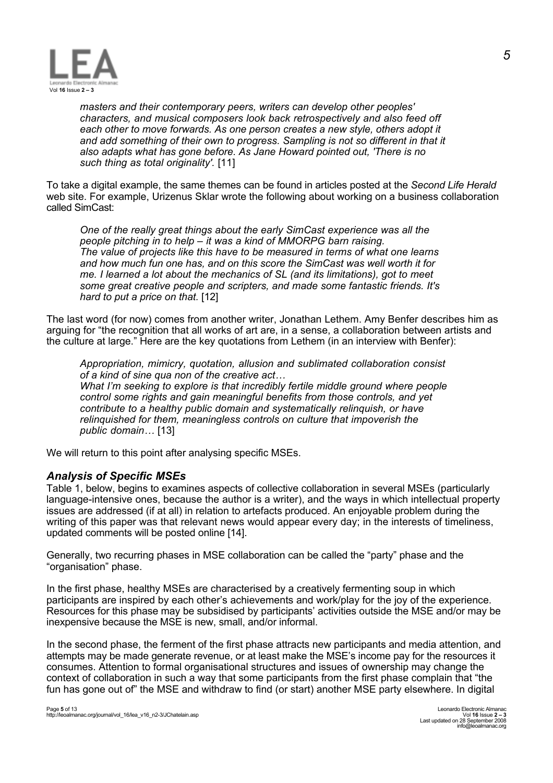

*masters and their contemporary peers, writers can develop other peoples' characters, and musical composers look back retrospectively and also feed off each other to move forwards. As one person creates a new style, others adopt it and add something of their own to progress. Sampling is not so different in that it also adapts what has gone before. As Jane Howard pointed out, 'There is no such thing as total originality'.* [11]

To take a digital example, the same themes can be found in articles posted at the *Second Life Herald* web site. For example, Urizenus Sklar wrote the following about working on a business collaboration called SimCast:

*One of the really great things about the early SimCast experience was all the people pitching in to help – it was a kind of MMORPG barn raising. The value of projects like this have to be measured in terms of what one learns and how much fun one has, and on this score the SimCast was well worth it for me. I learned a lot about the mechanics of SL (and its limitations), got to meet some great creative people and scripters, and made some fantastic friends. It's hard to put a price on that.* [12]

The last word (for now) comes from another writer, Jonathan Lethem. Amy Benfer describes him as arguing for "the recognition that all works of art are, in a sense, a collaboration between artists and the culture at large." Here are the key quotations from Lethem (in an interview with Benfer):

*Appropriation, mimicry, quotation, allusion and sublimated collaboration consist of a kind of sine qua non of the creative act… What I'm seeking to explore is that incredibly fertile middle ground where people control some rights and gain meaningful benefits from those controls, and yet contribute to a healthy public domain and systematically relinquish, or have relinquished for them, meaningless controls on culture that impoverish the public domain…* [13]

We will return to this point after analysing specific MSEs.

## *Analysis of Specific MSEs*

Table 1, below, begins to examines aspects of collective collaboration in several MSEs (particularly language-intensive ones, because the author is a writer), and the ways in which intellectual property issues are addressed (if at all) in relation to artefacts produced. An enjoyable problem during the writing of this paper was that relevant news would appear every day; in the interests of timeliness, updated comments will be posted online [14].

Generally, two recurring phases in MSE collaboration can be called the "party" phase and the "organisation" phase.

In the first phase, healthy MSEs are characterised by a creatively fermenting soup in which participants are inspired by each other's achievements and work/play for the joy of the experience. Resources for this phase may be subsidised by participants' activities outside the MSE and/or may be inexpensive because the MSE is new, small, and/or informal.

In the second phase, the ferment of the first phase attracts new participants and media attention, and attempts may be made generate revenue, or at least make the MSE's income pay for the resources it consumes. Attention to formal organisational structures and issues of ownership may change the context of collaboration in such a way that some participants from the first phase complain that "the fun has gone out of" the MSE and withdraw to find (or start) another MSE party elsewhere. In digital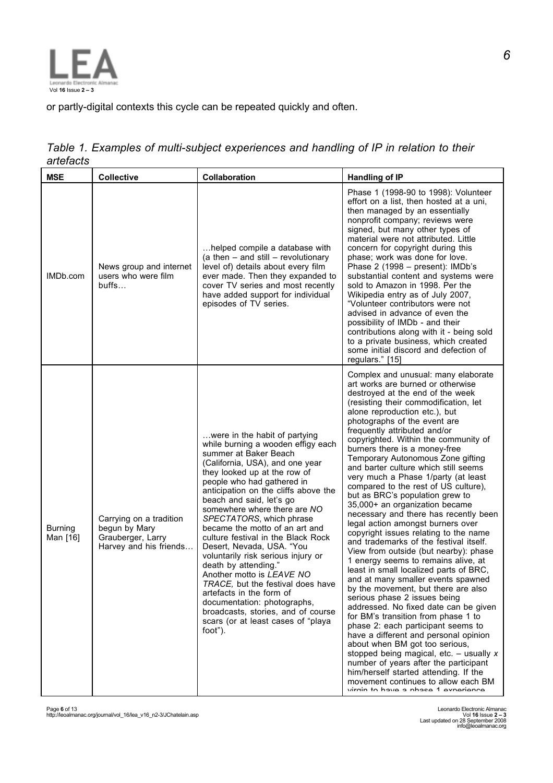

or partly-digital contexts this cycle can be repeated quickly and often.

|           | Table 1. Examples of multi-subject experiences and handling of IP in relation to their |  |  |  |  |
|-----------|----------------------------------------------------------------------------------------|--|--|--|--|
| artefacts |                                                                                        |  |  |  |  |

| <b>MSE</b>                 | <b>Collective</b>                                                                       | Collaboration                                                                                                                                                                                                                                                                                                                                                                                                                                                                                                                                                                                                                                                                                                        | <b>Handling of IP</b>                                                                                                                                                                                                                                                                                                                                                                                                                                                                                                                                                                                                                                                                                                                                                                                                                                                                                                                                                                                                                                                                                                                                                                                                                                                                                                                                                                  |
|----------------------------|-----------------------------------------------------------------------------------------|----------------------------------------------------------------------------------------------------------------------------------------------------------------------------------------------------------------------------------------------------------------------------------------------------------------------------------------------------------------------------------------------------------------------------------------------------------------------------------------------------------------------------------------------------------------------------------------------------------------------------------------------------------------------------------------------------------------------|----------------------------------------------------------------------------------------------------------------------------------------------------------------------------------------------------------------------------------------------------------------------------------------------------------------------------------------------------------------------------------------------------------------------------------------------------------------------------------------------------------------------------------------------------------------------------------------------------------------------------------------------------------------------------------------------------------------------------------------------------------------------------------------------------------------------------------------------------------------------------------------------------------------------------------------------------------------------------------------------------------------------------------------------------------------------------------------------------------------------------------------------------------------------------------------------------------------------------------------------------------------------------------------------------------------------------------------------------------------------------------------|
| IMDb.com                   | News group and internet<br>users who were film<br>butfs                                 | helped compile a database with<br>(a then $-$ and still $-$ revolutionary<br>level of) details about every film<br>ever made. Then they expanded to<br>cover TV series and most recently<br>have added support for individual<br>episodes of TV series.                                                                                                                                                                                                                                                                                                                                                                                                                                                              | Phase 1 (1998-90 to 1998): Volunteer<br>effort on a list, then hosted at a uni,<br>then managed by an essentially<br>nonprofit company; reviews were<br>signed, but many other types of<br>material were not attributed. Little<br>concern for copyright during this<br>phase; work was done for love.<br>Phase 2 (1998 - present): IMDb's<br>substantial content and systems were<br>sold to Amazon in 1998. Per the<br>Wikipedia entry as of July 2007,<br>"Volunteer contributors were not<br>advised in advance of even the<br>possibility of IMDb - and their<br>contributions along with it - being sold<br>to a private business, which created<br>some initial discord and defection of<br>regulars." [15]                                                                                                                                                                                                                                                                                                                                                                                                                                                                                                                                                                                                                                                                     |
| <b>Burning</b><br>Man [16] | Carrying on a tradition<br>begun by Mary<br>Grauberger, Larry<br>Harvey and his friends | were in the habit of partying<br>while burning a wooden effigy each<br>summer at Baker Beach<br>(California, USA), and one year<br>they looked up at the row of<br>people who had gathered in<br>anticipation on the cliffs above the<br>beach and said, let's go<br>somewhere where there are NO<br>SPECTATORS, which phrase<br>became the motto of an art and<br>culture festival in the Black Rock<br>Desert, Nevada, USA. "You<br>voluntarily risk serious injury or<br>death by attending."<br>Another motto is LEAVE NO<br>TRACE, but the festival does have<br>artefacts in the form of<br>documentation: photographs,<br>broadcasts, stories, and of course<br>scars (or at least cases of "playa<br>foot"). | Complex and unusual: many elaborate<br>art works are burned or otherwise<br>destroyed at the end of the week<br>(resisting their commodification, let<br>alone reproduction etc.), but<br>photographs of the event are<br>frequently attributed and/or<br>copyrighted. Within the community of<br>burners there is a money-free<br>Temporary Autonomous Zone gifting<br>and barter culture which still seems<br>very much a Phase 1/party (at least<br>compared to the rest of US culture),<br>but as BRC's population grew to<br>35,000+ an organization became<br>necessary and there has recently been<br>legal action amongst burners over<br>copyright issues relating to the name<br>and trademarks of the festival itself.<br>View from outside (but nearby): phase<br>1 energy seems to remains alive, at<br>least in small localized parts of BRC,<br>and at many smaller events spawned<br>by the movement, but there are also<br>serious phase 2 issues being<br>addressed. No fixed date can be given<br>for BM's transition from phase 1 to<br>phase 2: each participant seems to<br>have a different and personal opinion<br>about when BM got too serious,<br>stopped being magical, etc. $-$ usually x<br>number of years after the participant<br>him/herself started attending. If the<br>movement continues to allow each BM<br>virgin to have a phase 1 experience |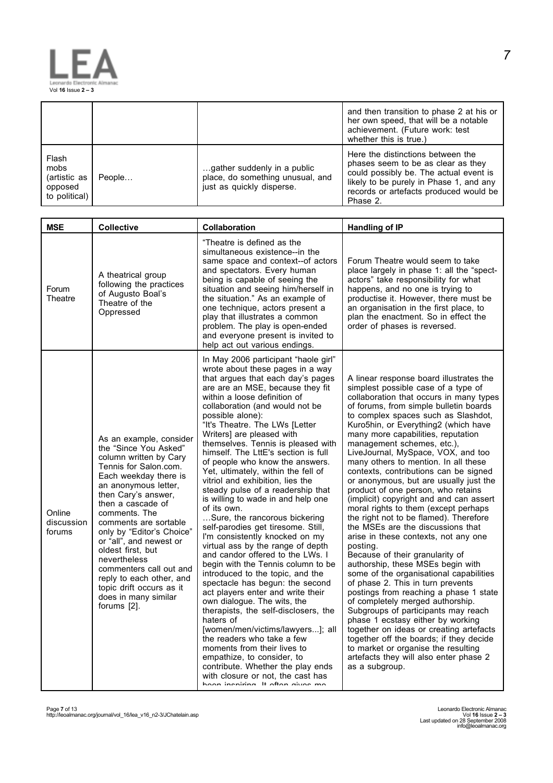

|                                                           |        |                                                                                              | and then transition to phase 2 at his or<br>her own speed, that will be a notable<br>achievement. (Future work: test<br>whether this is true.)                                                                     |
|-----------------------------------------------------------|--------|----------------------------------------------------------------------------------------------|--------------------------------------------------------------------------------------------------------------------------------------------------------------------------------------------------------------------|
| Flash<br>mobs<br>(artistic as<br>opposed<br>to political) | People | gather suddenly in a public<br>place, do something unusual, and<br>just as quickly disperse. | Here the distinctions between the<br>phases seem to be as clear as they<br>could possibly be. The actual event is<br>likely to be purely in Phase 1, and any<br>records or artefacts produced would be<br>Phase 2. |

| <b>MSE</b>                     | <b>Collective</b>                                                                                                                                                                                                                                                                                                                                                                                                                                                 | Collaboration                                                                                                                                                                                                                                                                                                                                                                                                                                                                                                                                                                                                                                                                                                                                                                                                                                                                                                                                                                                                                                                                                                                                                                                                                                                     | <b>Handling of IP</b>                                                                                                                                                                                                                                                                                                                                                                                                                                                                                                                                                                                                                                                                                                                                                                                                                                                                                                                                                                                                                                                                                                                                                                                                                                          |
|--------------------------------|-------------------------------------------------------------------------------------------------------------------------------------------------------------------------------------------------------------------------------------------------------------------------------------------------------------------------------------------------------------------------------------------------------------------------------------------------------------------|-------------------------------------------------------------------------------------------------------------------------------------------------------------------------------------------------------------------------------------------------------------------------------------------------------------------------------------------------------------------------------------------------------------------------------------------------------------------------------------------------------------------------------------------------------------------------------------------------------------------------------------------------------------------------------------------------------------------------------------------------------------------------------------------------------------------------------------------------------------------------------------------------------------------------------------------------------------------------------------------------------------------------------------------------------------------------------------------------------------------------------------------------------------------------------------------------------------------------------------------------------------------|----------------------------------------------------------------------------------------------------------------------------------------------------------------------------------------------------------------------------------------------------------------------------------------------------------------------------------------------------------------------------------------------------------------------------------------------------------------------------------------------------------------------------------------------------------------------------------------------------------------------------------------------------------------------------------------------------------------------------------------------------------------------------------------------------------------------------------------------------------------------------------------------------------------------------------------------------------------------------------------------------------------------------------------------------------------------------------------------------------------------------------------------------------------------------------------------------------------------------------------------------------------|
| Forum<br>Theatre               | A theatrical group<br>following the practices<br>of Augusto Boal's<br>Theatre of the<br>Oppressed                                                                                                                                                                                                                                                                                                                                                                 | "Theatre is defined as the<br>simultaneous existence--in the<br>same space and context--of actors<br>and spectators. Every human<br>being is capable of seeing the<br>situation and seeing him/herself in<br>the situation." As an example of<br>one technique, actors present a<br>play that illustrates a common<br>problem. The play is open-ended<br>and everyone present is invited to<br>help act out various endings.                                                                                                                                                                                                                                                                                                                                                                                                                                                                                                                                                                                                                                                                                                                                                                                                                                      | Forum Theatre would seem to take<br>place largely in phase 1: all the "spect-<br>actors" take responsibility for what<br>happens, and no one is trying to<br>productise it. However, there must be<br>an organisation in the first place, to<br>plan the enactment. So in effect the<br>order of phases is reversed.                                                                                                                                                                                                                                                                                                                                                                                                                                                                                                                                                                                                                                                                                                                                                                                                                                                                                                                                           |
| Online<br>discussion<br>forums | As an example, consider<br>the "Since You Asked"<br>column written by Cary<br>Tennis for Salon.com.<br>Each weekday there is<br>an anonymous letter,<br>then Cary's answer,<br>then a cascade of<br>comments. The<br>comments are sortable<br>only by "Editor's Choice"<br>or "all", and newest or<br>oldest first, but<br>nevertheless<br>commenters call out and<br>reply to each other, and<br>topic drift occurs as it<br>does in many similar<br>forums [2]. | In May 2006 participant "haole girl"<br>wrote about these pages in a way<br>that argues that each day's pages<br>are are an MSE, because they fit<br>within a loose definition of<br>collaboration (and would not be<br>possible alone):<br>"It's Theatre. The LWs [Letter<br>Writers] are pleased with<br>themselves. Tennis is pleased with<br>himself. The LttE's section is full<br>of people who know the answers.<br>Yet, ultimately, within the fell of<br>vitriol and exhibition, lies the<br>steady pulse of a readership that<br>is willing to wade in and help one<br>of its own.<br>Sure, the rancorous bickering<br>self-parodies get tiresome. Still,<br>I'm consistently knocked on my<br>virtual ass by the range of depth<br>and candor offered to the LWs. I<br>begin with the Tennis column to be<br>introduced to the topic, and the<br>spectacle has begun: the second<br>act players enter and write their<br>own dialogue. The wits, the<br>therapists, the self-disclosers, the<br>haters of<br>[women/men/victims/lawyers]; all<br>the readers who take a few<br>moments from their lives to<br>empathize, to consider, to<br>contribute. Whether the play ends<br>with closure or not, the cast has<br>hoon ineniring It often divor mo | A linear response board illustrates the<br>simplest possible case of a type of<br>collaboration that occurs in many types<br>of forums, from simple bulletin boards<br>to complex spaces such as Slashdot,<br>Kuro5hin, or Everything2 (which have<br>many more capabilities, reputation<br>management schemes, etc.),<br>LiveJournal, MySpace, VOX, and too<br>many others to mention. In all these<br>contexts, contributions can be signed<br>or anonymous, but are usually just the<br>product of one person, who retains<br>(implicit) copyright and and can assert<br>moral rights to them (except perhaps<br>the right not to be flamed). Therefore<br>the MSEs are the discussions that<br>arise in these contexts, not any one<br>posting.<br>Because of their granularity of<br>authorship, these MSEs begin with<br>some of the organisational capabilities<br>of phase 2. This in turn prevents<br>postings from reaching a phase 1 state<br>of completely merged authorship.<br>Subgroups of participants may reach<br>phase 1 ecstasy either by working<br>together on ideas or creating artefacts<br>together off the boards; if they decide<br>to market or organise the resulting<br>artefacts they will also enter phase 2<br>as a subgroup. |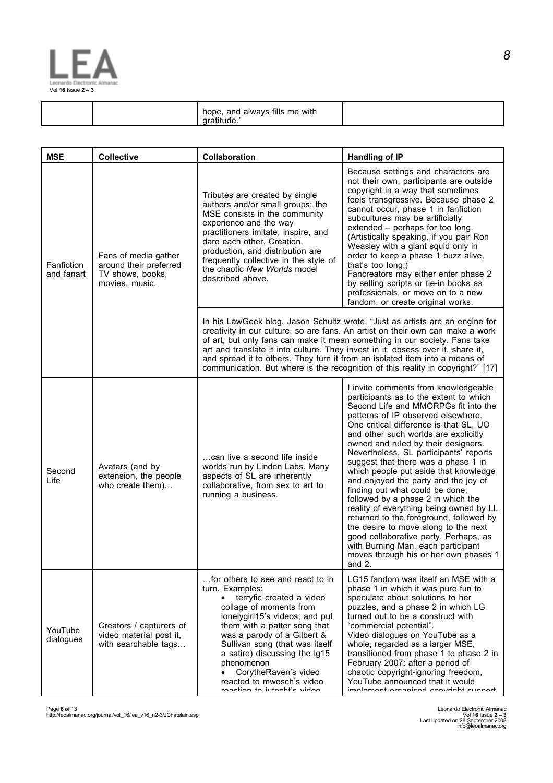

| always fills me with<br>and<br>hope. |  |
|--------------------------------------|--|
|                                      |  |

| <b>MSE</b>               | <b>Collective</b>                                                                    | Collaboration                                                                                                                                                                                                                                                                                                                                                                                                                                                                                     | <b>Handling of IP</b>                                                                                                                                                                                                                                                                                                                                                                                                                                                                                                                                                                                                                                                                                                                                                                            |  |
|--------------------------|--------------------------------------------------------------------------------------|---------------------------------------------------------------------------------------------------------------------------------------------------------------------------------------------------------------------------------------------------------------------------------------------------------------------------------------------------------------------------------------------------------------------------------------------------------------------------------------------------|--------------------------------------------------------------------------------------------------------------------------------------------------------------------------------------------------------------------------------------------------------------------------------------------------------------------------------------------------------------------------------------------------------------------------------------------------------------------------------------------------------------------------------------------------------------------------------------------------------------------------------------------------------------------------------------------------------------------------------------------------------------------------------------------------|--|
| Fanfiction<br>and fanart | Fans of media gather<br>around their preferred<br>TV shows, books,<br>movies, music. | Tributes are created by single<br>authors and/or small groups; the<br>MSE consists in the community<br>experience and the way<br>practitioners imitate, inspire, and<br>dare each other. Creation,<br>production, and distribution are<br>frequently collective in the style of<br>the chaotic New Worlds model<br>described above.                                                                                                                                                               | Because settings and characters are<br>not their own, participants are outside<br>copyright in a way that sometimes<br>feels transgressive. Because phase 2<br>cannot occur, phase 1 in fanfiction<br>subcultures may be artificially<br>extended – perhaps for too long.<br>(Artistically speaking, if you pair Ron<br>Weasley with a giant squid only in<br>order to keep a phase 1 buzz alive,<br>that's too long.)<br>Fancreators may either enter phase 2<br>by selling scripts or tie-in books as<br>professionals, or move on to a new<br>fandom, or create original works.                                                                                                                                                                                                               |  |
|                          |                                                                                      | In his LawGeek blog, Jason Schultz wrote, "Just as artists are an engine for<br>creativity in our culture, so are fans. An artist on their own can make a work<br>of art, but only fans can make it mean something in our society. Fans take<br>art and translate it into culture. They invest in it, obsess over it, share it,<br>and spread it to others. They turn it from an isolated item into a means of<br>communication. But where is the recognition of this reality in copyright?" [17] |                                                                                                                                                                                                                                                                                                                                                                                                                                                                                                                                                                                                                                                                                                                                                                                                  |  |
| Second<br>Life           | Avatars (and by<br>extension, the people<br>who create them)                         | can live a second life inside<br>worlds run by Linden Labs. Many<br>aspects of SL are inherently<br>collaborative, from sex to art to<br>running a business.                                                                                                                                                                                                                                                                                                                                      | I invite comments from knowledgeable<br>participants as to the extent to which<br>Second Life and MMORPGs fit into the<br>patterns of IP observed elsewhere.<br>One critical difference is that SL, UO<br>and other such worlds are explicitly<br>owned and ruled by their designers.<br>Nevertheless, SL participants' reports<br>suggest that there was a phase 1 in<br>which people put aside that knowledge<br>and enjoyed the party and the joy of<br>finding out what could be done,<br>followed by a phase 2 in which the<br>reality of everything being owned by LL<br>returned to the foreground, followed by<br>the desire to move along to the next<br>good collaborative party. Perhaps, as<br>with Burning Man, each participant<br>moves through his or her own phases 1<br>and 2. |  |
| YouTube<br>dialogues     | Creators / capturers of<br>video material post it,<br>with searchable tags           | for others to see and react to in<br>turn. Examples:<br>terryfic created a video<br>$\bullet$<br>collage of moments from<br>lonelygirl15's videos, and put<br>them with a patter song that<br>was a parody of a Gilbert &<br>Sullivan song (that was itself<br>a satire) discussing the Ig15<br>phenomenon<br>CorytheRaven's video<br>reacted to mwesch's video<br>roaction to intoobt's vidoo                                                                                                    | LG15 fandom was itself an MSE with a<br>phase 1 in which it was pure fun to<br>speculate about solutions to her<br>puzzles, and a phase 2 in which LG<br>turned out to be a construct with<br>"commercial potential".<br>Video dialogues on YouTube as a<br>whole, regarded as a larger MSE,<br>transitioned from phase 1 to phase 2 in<br>February 2007: after a period of<br>chaotic copyright-ignoring freedom,<br>YouTube announced that it would<br>implament arganiced convright cunnert                                                                                                                                                                                                                                                                                                   |  |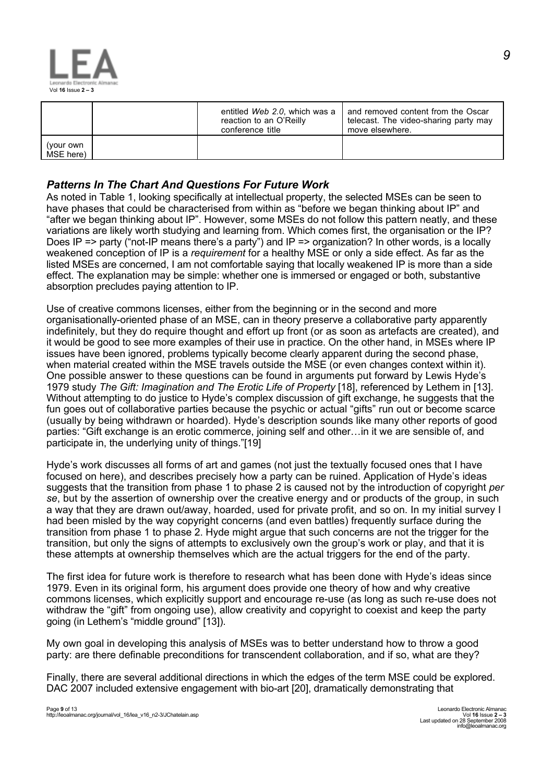

|                        | entitled Web 2.0, which was a<br>reaction to an O'Reilly<br>conference title | and removed content from the Oscar<br>telecast. The video-sharing party may<br>move elsewhere. |
|------------------------|------------------------------------------------------------------------------|------------------------------------------------------------------------------------------------|
| (your own<br>MSE here) |                                                                              |                                                                                                |

# *Patterns In The Chart And Questions For Future Work*

As noted in Table 1, looking specifically at intellectual property, the selected MSEs can be seen to have phases that could be characterised from within as "before we began thinking about IP" and "after we began thinking about IP". However, some MSEs do not follow this pattern neatly, and these variations are likely worth studying and learning from. Which comes first, the organisation or the IP? Does IP => party ("not-IP means there's a party") and IP => organization? In other words, is a locally weakened conception of IP is a *requirement* for a healthy MSE or only a side effect. As far as the listed MSEs are concerned, I am not comfortable saying that locally weakened IP is more than a side effect. The explanation may be simple: whether one is immersed or engaged or both, substantive absorption precludes paying attention to IP.

Use of creative commons licenses, either from the beginning or in the second and more organisationally-oriented phase of an MSE, can in theory preserve a collaborative party apparently indefinitely, but they do require thought and effort up front (or as soon as artefacts are created), and it would be good to see more examples of their use in practice. On the other hand, in MSEs where IP issues have been ignored, problems typically become clearly apparent during the second phase, when material created within the MSE travels outside the MSE (or even changes context within it). One possible answer to these questions can be found in arguments put forward by Lewis Hyde's 1979 study *The Gift: Imagination and The Erotic Life of Property* [18], referenced by Lethem in [13]. Without attempting to do justice to Hyde's complex discussion of gift exchange, he suggests that the fun goes out of collaborative parties because the psychic or actual "gifts" run out or become scarce (usually by being withdrawn or hoarded). Hyde's description sounds like many other reports of good parties: "Gift exchange is an erotic commerce, joining self and other…in it we are sensible of, and participate in, the underlying unity of things."[19]

Hyde's work discusses all forms of art and games (not just the textually focused ones that I have focused on here), and describes precisely how a party can be ruined. Application of Hyde's ideas suggests that the transition from phase 1 to phase 2 is caused not by the introduction of copyright *per se*, but by the assertion of ownership over the creative energy and or products of the group, in such a way that they are drawn out/away, hoarded, used for private profit, and so on. In my initial survey I had been misled by the way copyright concerns (and even battles) frequently surface during the transition from phase 1 to phase 2. Hyde might argue that such concerns are not the trigger for the transition, but only the signs of attempts to exclusively own the group's work or play, and that it is these attempts at ownership themselves which are the actual triggers for the end of the party.

The first idea for future work is therefore to research what has been done with Hyde's ideas since 1979. Even in its original form, his argument does provide one theory of how and why creative commons licenses, which explicitly support and encourage re-use (as long as such re-use does not withdraw the "gift" from ongoing use), allow creativity and copyright to coexist and keep the party going (in Lethem's "middle ground" [13]).

My own goal in developing this analysis of MSEs was to better understand how to throw a good party: are there definable preconditions for transcendent collaboration, and if so, what are they?

Finally, there are several additional directions in which the edges of the term MSE could be explored. DAC 2007 included extensive engagement with bio-art [20], dramatically demonstrating that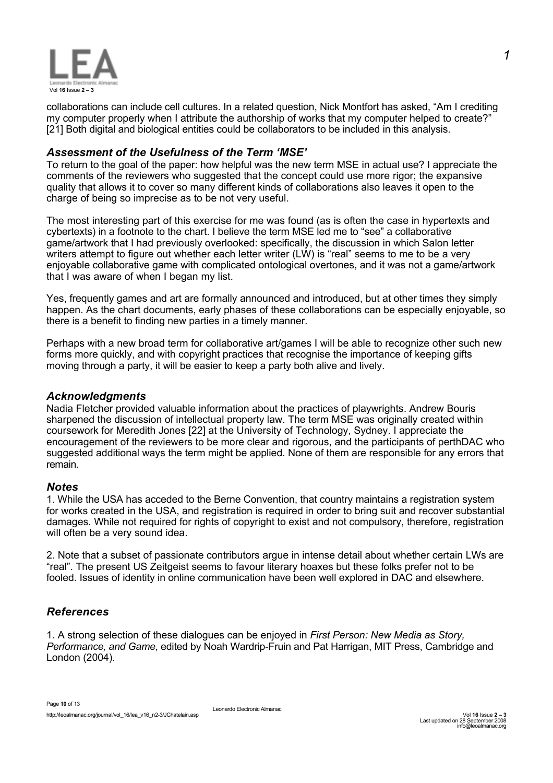

collaborations can include cell cultures. In a related question, Nick Montfort has asked, "Am I crediting my computer properly when I attribute the authorship of works that my computer helped to create?" [21] Both digital and biological entities could be collaborators to be included in this analysis.

#### *Assessment of the Usefulness of the Term 'MSE'*

To return to the goal of the paper: how helpful was the new term MSE in actual use? I appreciate the comments of the reviewers who suggested that the concept could use more rigor; the expansive quality that allows it to cover so many different kinds of collaborations also leaves it open to the charge of being so imprecise as to be not very useful.

The most interesting part of this exercise for me was found (as is often the case in hypertexts and cybertexts) in a footnote to the chart. I believe the term MSE led me to "see" a collaborative game/artwork that I had previously overlooked: specifically, the discussion in which Salon letter writers attempt to figure out whether each letter writer (LW) is "real" seems to me to be a very enjoyable collaborative game with complicated ontological overtones, and it was not a game/artwork that I was aware of when I began my list.

Yes, frequently games and art are formally announced and introduced, but at other times they simply happen. As the chart documents, early phases of these collaborations can be especially enjoyable, so there is a benefit to finding new parties in a timely manner.

Perhaps with a new broad term for collaborative art/games I will be able to recognize other such new forms more quickly, and with copyright practices that recognise the importance of keeping gifts moving through a party, it will be easier to keep a party both alive and lively.

#### *Acknowledgments*

Nadia Fletcher provided valuable information about the practices of playwrights. Andrew Bouris sharpened the discussion of intellectual property law. The term MSE was originally created within coursework for Meredith Jones [22] at the University of Technology, Sydney. I appreciate the encouragement of the reviewers to be more clear and rigorous, and the participants of perthDAC who suggested additional ways the term might be applied. None of them are responsible for any errors that remain.

#### *Notes*

1. While the USA has acceded to the Berne Convention, that country maintains a registration system for works created in the USA, and registration is required in order to bring suit and recover substantial damages. While not required for rights of copyright to exist and not compulsory, therefore, registration will often be a very sound idea.

2. Note that a subset of passionate contributors argue in intense detail about whether certain LWs are "real". The present US Zeitgeist seems to favour literary hoaxes but these folks prefer not to be fooled. Issues of identity in online communication have been well explored in DAC and elsewhere.

## *References*

1. A strong selection of these dialogues can be enjoyed in *First Person: New Media as Story, Performance, and Game*, edited by Noah Wardrip-Fruin and Pat Harrigan, MIT Press, Cambridge and London (2004).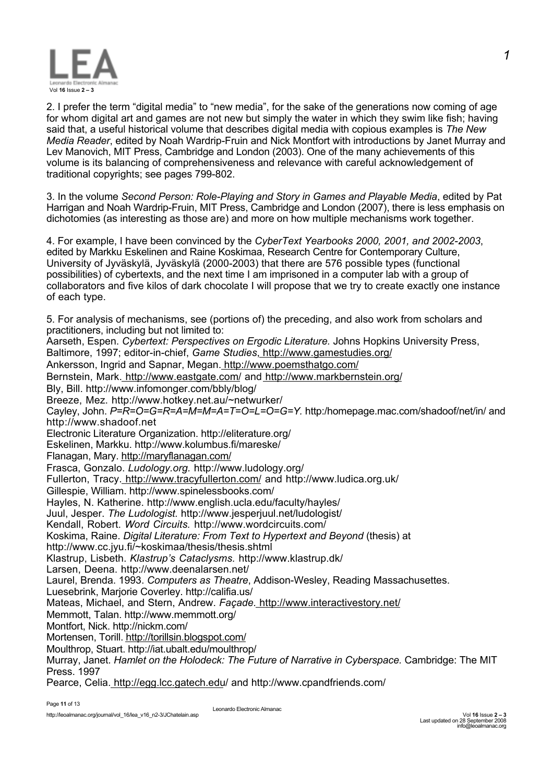

2. I prefer the term "digital media" to "new media", for the sake of the generations now coming of age for whom digital art and games are not new but simply the water in which they swim like fish; having said that, a useful historical volume that describes digital media with copious examples is *The New Media Reader*, edited by Noah Wardrip-Fruin and Nick Montfort with introductions by Janet Murray and Lev Manovich, MIT Press, Cambridge and London (2003). One of the many achievements of this volume is its balancing of comprehensiveness and relevance with careful acknowledgement of traditional copyrights; see pages 799-802.

3. In the volume *Second Person: Role-Playing and Story in Games and Playable Media*, edited by Pat Harrigan and Noah Wardrip-Fruin, MIT Press, Cambridge and London (2007), there is less emphasis on dichotomies (as interesting as those are) and more on how multiple mechanisms work together.

4. For example, I have been convinced by the *CyberText Yearbooks 2000, 2001, and 2002-2003*, edited by Markku Eskelinen and Raine Koskimaa, Research Centre for Contemporary Culture, University of Jyväskylä, Jyväskylä (2000-2003) that there are 576 possible types (functional possibilities) of cybertexts, and the next time I am imprisoned in a computer lab with a group of collaborators and five kilos of dark chocolate I will propose that we try to create exactly one instance of each type.

5. For analysis of mechanisms, see (portions of) the preceding, and also work from scholars and practitioners, including but not limited to: Aarseth, Espen. *Cybertext: Perspectives on Ergodic Literature.* Johns Hopkins University Press, Baltimore, 1997; editor-in-chief, *Game Studies*, http://www.gamestudies.org/ Ankersson, Ingrid and Sapnar, Megan. http://www.poemsthatgo.com/ Bernstein, Mark. http://www.eastgate.com/ and http://www.markbernstein.org/ Bly, Bill. http://www.infomonger.com/bbly/blog/ Breeze, Mez. http://www.hotkey.net.au/~netwurker/ Cayley, John. *P=R=O=G=R=A=M=M=A=T=O=L=O=G=Y.* http:/homepage.mac.com/shadoof/net/in/ and http://www.shadoof.net Electronic Literature Organization. http://eliterature.org/ Eskelinen, Markku. http://www.kolumbus.fi/mareske/ Flanagan, Mary. http://maryflanagan.com/ Frasca, Gonzalo. *Ludology.org.* http://www.ludology.org/ Fullerton, Tracy. http://www.tracyfullerton.com/ and http://www.ludica.org.uk/ Gillespie, William. http://www.spinelessbooks.com/ Hayles, N. Katherine. http://www.english.ucla.edu/faculty/hayles/ Juul, Jesper. *The Ludologist.* http://www.jesperjuul.net/ludologist/ Kendall, Robert. *Word Circuits.* http://www.wordcircuits.com/ Koskima, Raine. *Digital Literature: From Text to Hypertext and Beyond* (thesis) at http://www.cc.jyu.fi/~koskimaa/thesis/thesis.shtml Klastrup, Lisbeth. *Klastrup's Cataclysms.* http://www.klastrup.dk/ Larsen, Deena. http://www.deenalarsen.net/ Laurel, Brenda. 1993. *Computers as Theatre*, Addison-Wesley, Reading Massachusettes. Luesebrink, Marjorie Coverley. http://califia.us/ Mateas, Michael, and Stern, Andrew. *Façade.* http://www.interactivestory.net/ Memmott, Talan. http://www.memmott.org/ Montfort, Nick. http://nickm.com/ Mortensen, Torill. http://torillsin.blogspot.com/ Moulthrop, Stuart. http://iat.ubalt.edu/moulthrop/ Murray, Janet. *Hamlet on the Holodeck: The Future of Narrative in Cyberspace.* Cambridge: The MIT Press. 1997

Pearce, Celia. http://egg.lcc.gatech.edu/ and http://www.cpandfriends.com/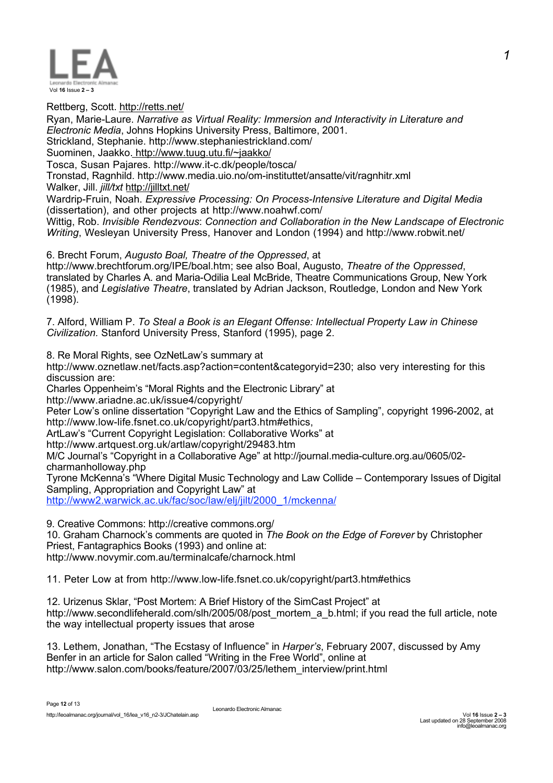

(1998).

Rettberg, Scott. http://retts.net/ Ryan, Marie-Laure. *Narrative as Virtual Reality: Immersion and Interactivity in Literature and Electronic Media*, Johns Hopkins University Press, Baltimore, 2001. Strickland, Stephanie. http://www.stephaniestrickland.com/ Suominen, Jaakko. http://www.tuug.utu.fi/~jaakko/ Tosca, Susan Pajares. http://www.it-c.dk/people/tosca/ Tronstad, Ragnhild. http://www.media.uio.no/om-instituttet/ansatte/vit/ragnhitr.xml Walker, Jill. *jill/txt* http://jilltxt.net/ Wardrip-Fruin, Noah. *Expressive Processing: On Process-Intensive Literature and Digital Media* (dissertation), and other projects at http://www.noahwf.com/ Wittig, Rob. *Invisible Rendezvous*: *Connection and Collaboration in the New Landscape of Electronic Writing*, Wesleyan University Press, Hanover and London (1994) and http://www.robwit.net/ 6. Brecht Forum, *Augusto Boal, Theatre of the Oppressed*, at http://www.brechtforum.org/IPE/boal.htm; see also Boal, Augusto, *Theatre of the Oppressed*, translated by Charles A. and Maria-Odilia Leal McBride, Theatre Communications Group, New York (1985), and *Legislative Theatre*, translated by Adrian Jackson, Routledge, London and New York

7. Alford, William P. *To Steal a Book is an Elegant Offense: Intellectual Property Law in Chinese Civilization.* Stanford University Press, Stanford (1995), page 2.

8. Re Moral Rights, see OzNetLaw's summary at

http://www.oznetlaw.net/facts.asp?action=content&categoryid=230; also very interesting for this discussion are:

Charles Oppenheim's "Moral Rights and the Electronic Library" at http://www.ariadne.ac.uk/issue4/copyright/

Peter Low's online dissertation "Copyright Law and the Ethics of Sampling", copyright 1996-2002, at http://www.low-life.fsnet.co.uk/copyright/part3.htm#ethics,

ArtLaw's "Current Copyright Legislation: Collaborative Works" at

http://www.artquest.org.uk/artlaw/copyright/29483.htm

M/C Journal's "Copyright in a Collaborative Age" at http://journal.media-culture.org.au/0605/02 charmanholloway.php

Tyrone McKenna's "Where Digital Music Technology and Law Collide – Contemporary Issues of Digital Sampling, Appropriation and Copyright Law" at

http://www2.warwick.ac.uk/fac/soc/law/elj/jilt/2000\_1/mckenna/

9. Creative Commons: http://creative commons.org/

10. Graham Charnock's comments are quoted in *The Book on the Edge of Forever* by Christopher Priest, Fantagraphics Books (1993) and online at: http://www.novymir.com.au/terminalcafe/charnock.html

11. Peter Low at from http://www.low-life.fsnet.co.uk/copyright/part3.htm#ethics

12. Urizenus Sklar, "Post Mortem: A Brief History of the SimCast Project" at http://www.secondlifeherald.com/slh/2005/08/post\_mortem\_a\_b.html; if you read the full article, note the way intellectual property issues that arose

13. Lethem, Jonathan, "The Ecstasy of Influence" in *Harper's*, February 2007, discussed by Amy Benfer in an article for Salon called "Writing in the Free World", online at http://www.salon.com/books/feature/2007/03/25/lethem\_interview/print.html